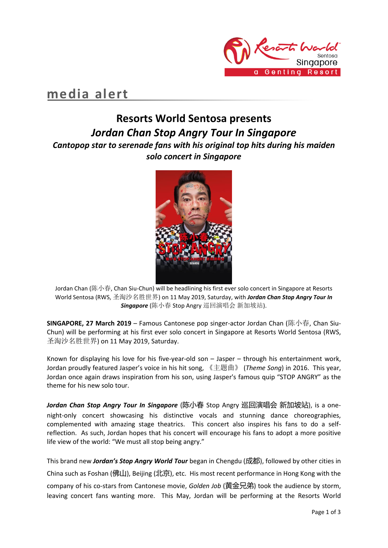

## **media alert**

## **Resorts World Sentosa presents** *Jordan Chan Stop Angry Tour In Singapore*

*Cantopop star to serenade fans with his original top hits during his maiden solo concert in Singapore*



Jordan Chan (陈小春, Chan Siu-Chun) will be headlining his first ever solo concert in Singapore at Resorts World Sentosa (RWS, 圣淘沙名胜世界) on 11 May 2019, Saturday, with *Jordan Chan Stop Angry Tour In Singapore* (陈小春 Stop Angry 巡回演唱会 新加坡站).

**SINGAPORE, 27 March 2019** – Famous Cantonese pop singer-actor Jordan Chan (陈小春, Chan Siu-Chun) will be performing at his first ever solo concert in Singapore at Resorts World Sentosa (RWS, 圣淘沙名胜世界) on 11 May 2019, Saturday.

Known for displaying his love for his five-year-old son – Jasper – through his entertainment work, Jordan proudly featured Jasper's voice in his hit song, 《主题曲》 (*Theme Song*) in 2016. This year, Jordan once again draws inspiration from his son, using Jasper's famous quip "STOP ANGRY" as the theme for his new solo tour.

*Jordan Chan Stop Angry Tour In Singapore* (陈小春 Stop Angry 巡回演唱会 新加坡站), is a onenight-only concert showcasing his distinctive vocals and stunning dance choreographies, complemented with amazing stage theatrics. This concert also inspires his fans to do a selfreflection. As such, Jordan hopes that his concert will encourage his fans to adopt a more positive life view of the world: "We must all stop being angry."

This brand new *Jordan's Stop Angry World Tour* began in Chengdu (成都), followed by other cities in China such as Foshan (佛山), Beijing (北京), etc. His most recent performance in Hong Kong with the company of his co-stars from Cantonese movie, *Golden Job* (黄金兄弟) took the audience by storm, leaving concert fans wanting more. This May, Jordan will be performing at the Resorts World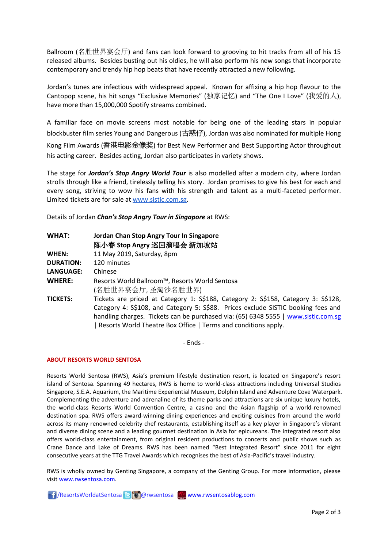Ballroom (名胜世界宴会厅) and fans can look forward to grooving to hit tracks from all of his 15 released albums. Besides busting out his oldies, he will also perform his new songs that incorporate contemporary and trendy hip hop beats that have recently attracted a new following.

Jordan's tunes are infectious with widespread appeal. Known for affixing a hip hop flavour to the Cantopop scene, his hit songs "Exclusive Memories" (独家记忆) and "The One I Love" (我爱的人), have more than 15,000,000 Spotify streams combined.

A familiar face on movie screens most notable for being one of the leading stars in popular blockbuster film series Young and Dangerous (古惑仔), Jordan was also nominated for multiple Hong Kong Film Awards (香港电影金像奖) for Best New Performer and Best Supporting Actor throughout his acting career. Besides acting, Jordan also participates in variety shows.

The stage for *Jordan's Stop Angry World Tour* is also modelled after a modern city, where Jordan strolls through like a friend, tirelessly telling his story. Jordan promises to give his best for each and every song, striving to wow his fans with his strength and talent as a multi-faceted performer. Limited tickets are for sale a[t www.sistic.com.sg.](http://www.sistic.com.sg/)

Details of Jordan *Chan's Stop Angry Tour in Singapore* at RWS:

| <b>WHAT:</b>     | Jordan Chan Stop Angry Tour In Singapore<br>陈小春 Stop Angry 巡回演唱会 新加坡站                                                                                                                                                                                                                                                          |
|------------------|--------------------------------------------------------------------------------------------------------------------------------------------------------------------------------------------------------------------------------------------------------------------------------------------------------------------------------|
| WHEN:            | 11 May 2019, Saturday, 8pm                                                                                                                                                                                                                                                                                                     |
| <b>DURATION:</b> | 120 minutes                                                                                                                                                                                                                                                                                                                    |
| LANGUAGE:        | Chinese                                                                                                                                                                                                                                                                                                                        |
| <b>WHERE:</b>    | Resorts World Ballroom™, Resorts World Sentosa<br>(名胜世界宴会厅,圣淘沙名胜世界)                                                                                                                                                                                                                                                            |
| <b>TICKETS:</b>  | Tickets are priced at Category 1: S\$188, Category 2: S\$158, Category 3: S\$128,<br>Category 4: S\$108, and Category 5: S\$88. Prices exclude SISTIC booking fees and<br>handling charges. Tickets can be purchased via: (65) 6348 5555   www.sistic.com.sg<br>Resorts World Theatre Box Office   Terms and conditions apply. |

- Ends -

## **ABOUT RESORTS WORLD SENTOSA**

Resorts World Sentosa (RWS), Asia's premium lifestyle destination resort, is located on Singapore's resort island of Sentosa. Spanning 49 hectares, RWS is home to world-class attractions including Universal Studios Singapore, S.E.A. Aquarium, the Maritime Experiential Museum, Dolphin Island and Adventure Cove Waterpark. Complementing the adventure and adrenaline of its theme parks and attractions are six unique luxury hotels, the world-class Resorts World Convention Centre, a casino and the Asian flagship of a world-renowned destination spa. RWS offers award-winning dining experiences and exciting cuisines from around the world across its many renowned celebrity chef restaurants, establishing itself as a key player in Singapore's vibrant and diverse dining scene and a leading gourmet destination in Asia for epicureans. The integrated resort also offers world-class entertainment, from original resident productions to concerts and public shows such as Crane Dance and Lake of Dreams. RWS has been named "Best Integrated Resort" since 2011 for eight consecutive years at the TTG Travel Awards which recognises the best of Asia-Pacific's travel industry.

RWS is wholly owned by Genting Singapore, a company of the Genting Group. For more information, please visi[t www.rwsentosa.com.](http://www.rwsentosa.com/)

**1** ResortsWorldatSentosa **B C** @rwsentosa **[www.rwsentosablog.com](http://www.rwsentosablog.com/)**